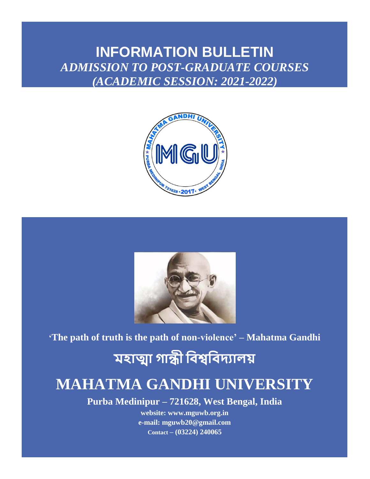## **INFORMATION BULLETIN** *ADMISSION TO POST-GRADUATE COURSES (ACADEMIC SESSION: 2021-2022)*





**'The path of truth is the path of non-violence' – Mahatma Gandhi**

## **মহাত্মা গান্ধী বিশ্ববিদ্যালয়**

## **MAHATMA GANDHI UNIVERSITY**

**Purba Medinipur – 721628, West Bengal, India**

**website: www.mguwb.org.in e-mail: mguwb20@gmail.com Contact – (03224) 240065**